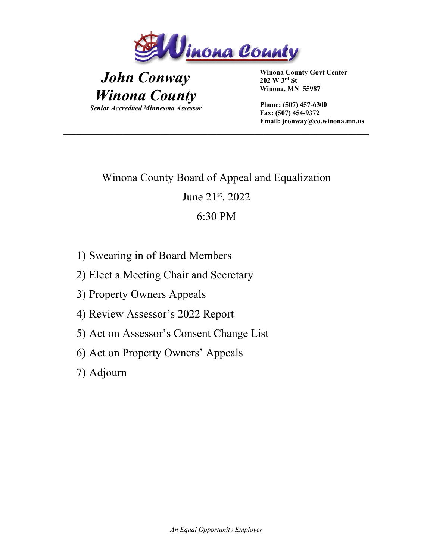

## *John Conway Winona County Senior Accredited Minnesota Assessor*

 **Winona County Govt Center 202 W 3rd St Winona, MN 55987** 

 **Phone: (507) 457-6300 Fax: (507) 454-9372 Email: jconway@co.winona.mn.us**

# Winona County Board of Appeal and Equalization June 21st, 2022 6:30 PM

- 1) Swearing in of Board Members
- 2) Elect a Meeting Chair and Secretary
- 3) Property Owners Appeals
- 4) Review Assessor's 2022 Report
- 5) Act on Assessor's Consent Change List
- 6) Act on Property Owners' Appeals
- 7) Adjourn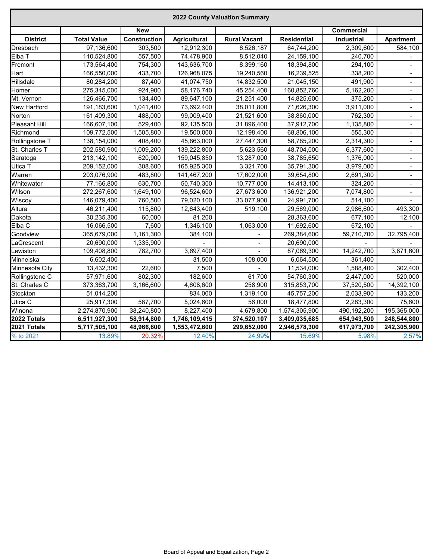| 2022 County Valuation Summary |                    |              |                     |                     |                    |             |                  |  |  |  |
|-------------------------------|--------------------|--------------|---------------------|---------------------|--------------------|-------------|------------------|--|--|--|
|                               |                    | <b>New</b>   |                     |                     |                    | Commercial  |                  |  |  |  |
| <b>District</b>               | <b>Total Value</b> | Construction | <b>Agricultural</b> | <b>Rural Vacant</b> | <b>Residential</b> | Industrial  | <b>Apartment</b> |  |  |  |
| Dresbach                      | 97,136,600         | 303,500      | 12,912,300          | 6,526,187           | 64,744,200         | 2,309,600   | 584,100          |  |  |  |
| Elba T                        | 110,524,800        | 557,500      | 74,478,900          | 8,512,040           | 24,159,100         | 240,700     |                  |  |  |  |
| Fremont                       | 173,564,400        | 754,300      | 143,636,700         | 8,399,160           | 18,394,800         | 294,100     |                  |  |  |  |
| Hart                          | 166,550,000        | 433,700      | 126,968,075         | 19,240,560          | 16,239,525         | 338,200     | $\blacksquare$   |  |  |  |
| Hillsdale                     | 80,284,200         | 87,400       | 41,074,750          | 14,832,500          | 21,045,150         | 491,900     | $\blacksquare$   |  |  |  |
| Homer                         | 275,345,000        | 924,900      | 58,176,740          | 45,254,400          | 160,852,760        | 5,162,200   |                  |  |  |  |
| Mt. Vernon                    | 126,466,700        | 134,400      | 89,647,100          | 21,251,400          | 14,825,600         | 375,200     | $\blacksquare$   |  |  |  |
| New Hartford                  | 191,183,600        | 1,041,400    | 73,692,400          | 38,011,800          | 71,626,300         | 3,911,000   | $\blacksquare$   |  |  |  |
| Norton                        | 161,409,300        | 488,000      | 99,009,400          | 21,521,600          | 38,860,000         | 762,300     | $\blacksquare$   |  |  |  |
| Pleasant Hill                 | 166,607,100        | 529,400      | 92,135,500          | 31,896,400          | 37,912,700         | 1,135,800   | $\blacksquare$   |  |  |  |
| Richmond                      | 109,772,500        | 1,505,800    | 19,500,000          | 12,198,400          | 68,806,100         | 555,300     | $\blacksquare$   |  |  |  |
| Rollingstone T                | 138,154,000        | 408,400      | 45,863,000          | 27,447,300          | 58,785,200         | 2,314,300   | $\blacksquare$   |  |  |  |
| St. Charles T                 | 202,580,900        | 1,009,200    | 139,222,800         | 5,623,560           | 48,704,000         | 6,377,600   | $\blacksquare$   |  |  |  |
| Saratoga                      | 213,142,100        | 620,900      | 159,045,850         | 13,287,000          | 38,785,650         | 1,376,000   |                  |  |  |  |
| Utica T                       | 209,152,000        | 308,600      | 165,925,300         | 3,321,700           | 35,791,300         | 3,979,000   | $\blacksquare$   |  |  |  |
| Warren                        | 203,076,900        | 483,800      | 141,467,200         | 17,602,000          | 39,654,800         | 2,691,300   | $\blacksquare$   |  |  |  |
| Whitewater                    | 77,166,800         | 630,700      | 50,740,300          | 10,777,000          | 14,413,100         | 324,200     | $\blacksquare$   |  |  |  |
| Wilson                        | 272,267,600        | 1,649,100    | 96,524,600          | 27,673,600          | 136,921,200        | 7,074,800   | $\blacksquare$   |  |  |  |
| Wiscoy                        | 146,079,400        | 760,500      | 79,020,100          | 33,077,900          | 24,991,700         | 514,100     |                  |  |  |  |
| Altura                        | 46,211,400         | 115,800      | 12,643,400          | 519,100             | 29,569,000         | 2,986,600   | 493,300          |  |  |  |
| Dakota                        | 30,235,300         | 60,000       | 81,200              |                     | 28,363,600         | 677,100     | 12,100           |  |  |  |
| Elba C                        | 16,066,500         | 7,600        | 1,346,100           | 1,063,000           | 11,692,600         | 672,100     |                  |  |  |  |
| Goodview                      | 365,679,000        | 1,161,300    | 384,100             |                     | 269,384,600        | 59,710,700  | 32,795,400       |  |  |  |
| LaCrescent                    | 20,690,000         | 1,335,900    |                     | $\blacksquare$      | 20,690,000         |             |                  |  |  |  |
| Lewiston                      | 109,408,800        | 782,700      | 3,697,400           | $\blacksquare$      | 87,069,300         | 14,242,700  | 3,871,600        |  |  |  |
| Minneiska                     | 6,602,400          |              | 31,500              | 108,000             | 6,064,500          | 361,400     |                  |  |  |  |
| Minnesota City                | 13,432,300         | 22,600       | 7,500               |                     | 11,534,000         | 1,588,400   | 302,400          |  |  |  |
| Rollingstone C                | 57,971,600         | 802,300      | 182,600             | 61,700              | 54,760,300         | 2,447,000   | 520,000          |  |  |  |
| St. Charles C                 | 373,363,700        | 3,166,600    | 4,608,600           | 258,900             | 315,853,700        | 37,520,500  | 14,392,100       |  |  |  |
| Stockton                      | 51,014,200         |              | 834,000             | 1,319,100           | 45,757,200         | 2,033,900   | 133,200          |  |  |  |
| Utica C                       | 25,917,300         | 587,700      | 5,024,600           | 56,000              | 18,477,800         | 2,283,300   | 75,600           |  |  |  |
| Winona                        | 2,274,870,900      | 38,240,800   | 8,227,400           | 4,679,800           | 1,574,305,900      | 490,192,200 | 195,365,000      |  |  |  |
| 2022 Totals                   | 6,511,927,300      | 58,914,800   | 1,746,109,415       | 374,520,107         | 3,409,035,685      | 654,943,500 | 248,544,800      |  |  |  |
| 2021 Totals                   | 5,717,505,100      | 48,966,600   | 1,553,472,600       | 299,652,000         | 2,946,578,300      | 617,973,700 | 242,305,900      |  |  |  |
| % to 2021                     | 13.89%             | 20.32%       | 12.40%              | 24.99%              | 15.69%             | 5.98%       | 2.57%            |  |  |  |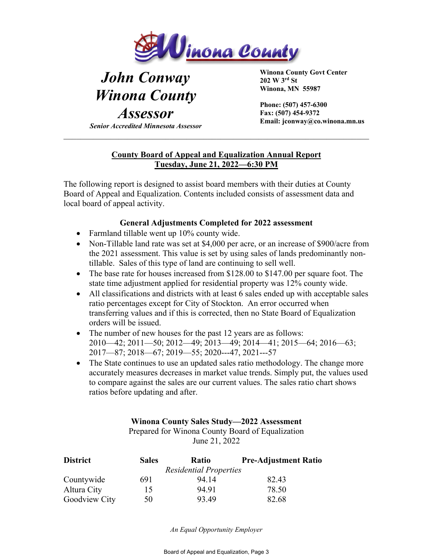

# *John Conway Winona County*

*Assessor Senior Accredited Minnesota Assessor*  **Winona County Govt Center 202 W 3rd St Winona, MN 55987** 

 **Phone: (507) 457-6300 Fax: (507) 454-9372 Email: jconway@co.winona.mn.us**

### **County Board of Appeal and Equalization Annual Report Tuesday, June 21, 2022—6:30 PM**

The following report is designed to assist board members with their duties at County Board of Appeal and Equalization. Contents included consists of assessment data and local board of appeal activity.

### **General Adjustments Completed for 2022 assessment**

- Farmland tillable went up 10% county wide.
- Non-Tillable land rate was set at \$4,000 per acre, or an increase of \$900/acre from the 2021 assessment. This value is set by using sales of lands predominantly nontillable. Sales of this type of land are continuing to sell well.
- The base rate for houses increased from \$128.00 to \$147.00 per square foot. The state time adjustment applied for residential property was 12% county wide.
- All classifications and districts with at least 6 sales ended up with acceptable sales ratio percentages except for City of Stockton. An error occurred when transferring values and if this is corrected, then no State Board of Equalization orders will be issued.
- The number of new houses for the past 12 years are as follows: 2010—42; 2011—50; 2012—49; 2013—49; 2014—41; 2015—64; 2016—63; 2017—87; 2018—67; 2019—55; 2020---47, 2021---57
- The State continues to use an updated sales ratio methodology. The change more accurately measures decreases in market value trends. Simply put, the values used to compare against the sales are our current values. The sales ratio chart shows ratios before updating and after.

#### **Winona County Sales Study—2022 Assessment**

Prepared for Winona County Board of Equalization June 21, 2022

| <b>District</b> | <b>Sales</b> | Ratio                         | <b>Pre-Adjustment Ratio</b> |
|-----------------|--------------|-------------------------------|-----------------------------|
|                 |              | <b>Residential Properties</b> |                             |
| Countywide      | 691          | 94.14                         | 82.43                       |
| Altura City     | 15           | 94.91                         | 78.50                       |
| Goodview City   | 50           | 93.49                         | 82.68                       |

*An Equal Opportunity Employer*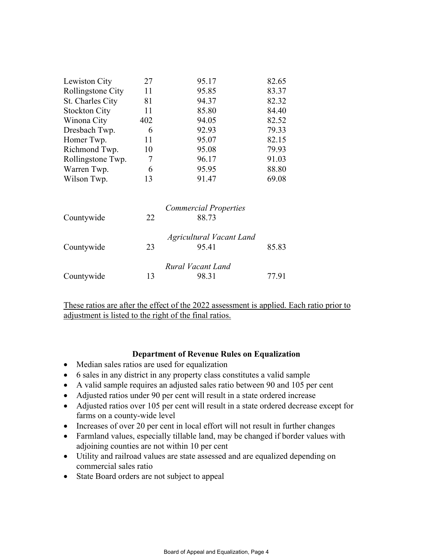| Lewiston City        | 27  | 95.17                           | 82.65 |
|----------------------|-----|---------------------------------|-------|
| Rollingstone City    | 11  | 95.85                           | 83.37 |
| St. Charles City     | 81  | 94.37                           | 82.32 |
| <b>Stockton City</b> | 11  | 85.80                           | 84.40 |
| Winona City          | 402 | 94.05                           | 82.52 |
| Dresbach Twp.        | 6   | 92.93                           | 79.33 |
| Homer Twp.           | 11  | 95.07                           | 82.15 |
| Richmond Twp.        | 10  | 95.08                           | 79.93 |
| Rollingstone Twp.    | 7   | 96.17                           | 91.03 |
| Warren Twp.          | 6   | 95.95                           | 88.80 |
| Wilson Twp.          | 13  | 91.47                           | 69.08 |
|                      |     | <b>Commercial Properties</b>    |       |
| Countywide           | 22  | 88.73                           |       |
|                      |     | <b>Agricultural Vacant Land</b> |       |
| Countywide           | 23  | 95.41                           | 85.83 |
|                      |     | Rural Vacant Land               |       |
| Countywide           | 13  | 98.31                           | 77.91 |

These ratios are after the effect of the 2022 assessment is applied. Each ratio prior to adjustment is listed to the right of the final ratios.

#### **Department of Revenue Rules on Equalization**

- Median sales ratios are used for equalization
- 6 sales in any district in any property class constitutes a valid sample
- A valid sample requires an adjusted sales ratio between 90 and 105 per cent
- Adjusted ratios under 90 per cent will result in a state ordered increase
- Adjusted ratios over 105 per cent will result in a state ordered decrease except for farms on a county-wide level
- Increases of over 20 per cent in local effort will not result in further changes
- Farmland values, especially tillable land, may be changed if border values with adjoining counties are not within 10 per cent
- Utility and railroad values are state assessed and are equalized depending on commercial sales ratio
- State Board orders are not subject to appeal